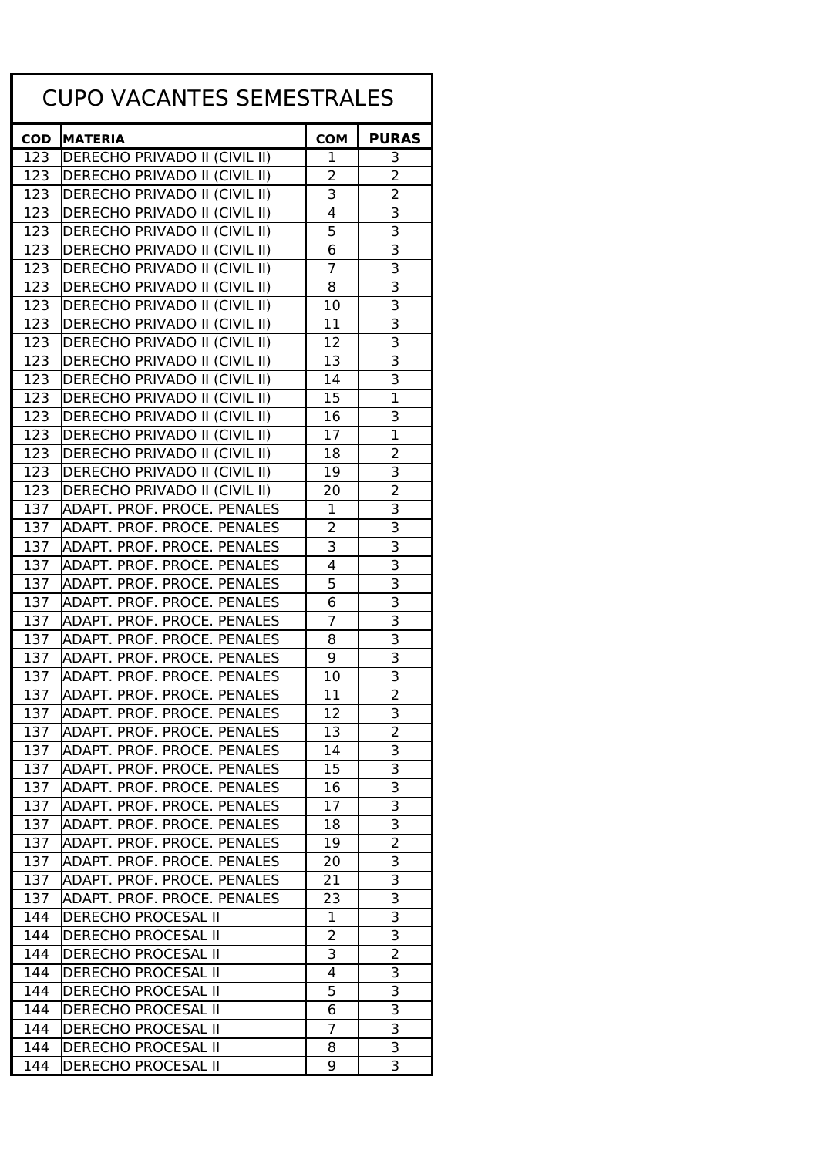| <b>CUPO VACANTES SEMESTRALES</b> |                                      |                |                           |  |
|----------------------------------|--------------------------------------|----------------|---------------------------|--|
| <b>COD</b>                       | <b>MATERIA</b>                       | <b>COM</b>     | <b>PURAS</b>              |  |
| 123                              | DERECHO PRIVADO II (CIVIL II)        | 1              | 3                         |  |
| 123                              | <b>DERECHO PRIVADO II (CIVIL II)</b> | 2              | $\overline{2}$            |  |
| 123                              | <b>DERECHO PRIVADO II (CIVIL II)</b> | 3              | $\overline{2}$            |  |
| 123                              | DERECHO PRIVADO II (CIVIL II)        | 4              | 3                         |  |
| 123                              | <b>DERECHO PRIVADO II (CIVIL II)</b> | 5              | 3                         |  |
| 123                              | DERECHO PRIVADO II (CIVIL II)        | 6              | $\overline{\mathsf{3}}$   |  |
| 123                              | DERECHO PRIVADO II (CIVIL II)        | 7              | 3                         |  |
| 123                              | DERECHO PRIVADO II (CIVIL II)        | 8              | 3                         |  |
| 123                              | <b>DERECHO PRIVADO II (CIVIL II)</b> | 10             | 3                         |  |
| 123                              | DERECHO PRIVADO II (CIVIL II)        | 11             | $\overline{\mathbf{3}}$   |  |
| 123                              | <b>DERECHO PRIVADO II (CIVIL II)</b> | 12             | 3                         |  |
| 123                              | <b>DERECHO PRIVADO II (CIVIL II)</b> | 13             | $\overline{\mathsf{3}}$   |  |
| 123                              | <b>DERECHO PRIVADO II (CIVIL II)</b> | 14             | 3                         |  |
| 123                              | DERECHO PRIVADO II (CIVIL II)        | 15             | $\overline{1}$            |  |
| 123                              | <b>DERECHO PRIVADO II (CIVIL II)</b> | 16             | 3                         |  |
| 123                              | DERECHO PRIVADO II (CIVIL II)        | 17             | $\overline{1}$            |  |
| 123                              | <b>DERECHO PRIVADO II (CIVIL II)</b> | 18             | 2                         |  |
| 123                              | DERECHO PRIVADO II (CIVIL II)        | 19             | 3                         |  |
| 123                              | DERECHO PRIVADO II (CIVIL II)        | 20             | $\overline{2}$            |  |
| 137                              | ADAPT. PROF. PROCE. PENALES          | 1              | 3                         |  |
| 137                              | ADAPT. PROF. PROCE. PENALES          | 2              | 3                         |  |
| 137                              | ADAPT. PROF. PROCE. PENALES          | 3              | $\overline{\mathsf{3}}$   |  |
| 137                              | ADAPT. PROF. PROCE. PENALES          | 4              | 3                         |  |
| 137                              | ADAPT. PROF. PROCE. PENALES          | 5              | 3                         |  |
| 137                              | ADAPT. PROF. PROCE. PENALES          | 6              | 3                         |  |
| 137                              | ADAPT. PROF. PROCE. PENALES          | 7              | $\overline{\mathsf{3}}$   |  |
| 137                              | ADAPT. PROF. PROCE. PENALES          | 8              | $\overline{\mathsf{3}}$   |  |
| 137                              | ADAPT. PROF. PROCE. PENALES          | 9              | $\overline{\mathsf{3}}$   |  |
| 137                              | ADAPT. PROF. PROCE. PENALES          | 10             | $\overline{\mathbf{3}}$   |  |
| 137                              | ADAPT. PROF. PROCE. PENALES          | 11             | $\overline{\phantom{a}}$  |  |
| 137                              | ADAPT. PROF. PROCE. PENALES          | 12             | $\overline{\mathsf{3}}$   |  |
| 137                              | ADAPT. PROF. PROCE. PENALES          | 13             | $\overline{2}$            |  |
| 137                              | ADAPT. PROF. PROCE. PENALES          | 14             | $\overline{\mathbf{3}}$   |  |
| 137                              | ADAPT. PROF. PROCE. PENALES          | 15             | $\overline{3}$            |  |
| 137                              | ADAPT. PROF. PROCE. PENALES          | 16             | 3                         |  |
| 137                              | ADAPT. PROF. PROCE. PENALES          | 17             | 3                         |  |
| 137                              | ADAPT. PROF. PROCE. PENALES          | 18             | 3                         |  |
| 137                              | ADAPT. PROF. PROCE. PENALES          | 19             | $\overline{a}$            |  |
| 137                              | ADAPT. PROF. PROCE. PENALES          | 20             | 3                         |  |
| 137                              | ADAPT. PROF. PROCE. PENALES          | 21             | $\overline{3}$            |  |
| 137                              | ADAPT. PROF. PROCE. PENALES          | 23             | $\overline{\mathbf{3}}$   |  |
| 144                              | <b>DERECHO PROCESAL II</b>           | 1              | $\overline{\overline{3}}$ |  |
| 144                              | <b>DERECHO PROCESAL II</b>           | 2              | $\overline{\mathsf{3}}$   |  |
| 144                              | <b>DERECHO PROCESAL II</b>           | $\overline{3}$ | $\overline{2}$            |  |
| 144                              | <b>DERECHO PROCESAL II</b>           | 4              | 3                         |  |
| 144                              | <b>DERECHO PROCESAL II</b>           | 5              | $\overline{3}$            |  |
| 144                              | <b>DERECHO PROCESAL II</b>           | 6              | $\overline{\overline{3}}$ |  |
| 144                              | <b>DERECHO PROCESAL II</b>           | $\overline{7}$ | $\overline{\overline{3}}$ |  |
| 144                              | <b>DERECHO PROCESAL II</b>           | 8              | $\overline{3}$            |  |
| 144                              | DERECHO PROCESAL II                  | 9              | $\overline{3}$            |  |